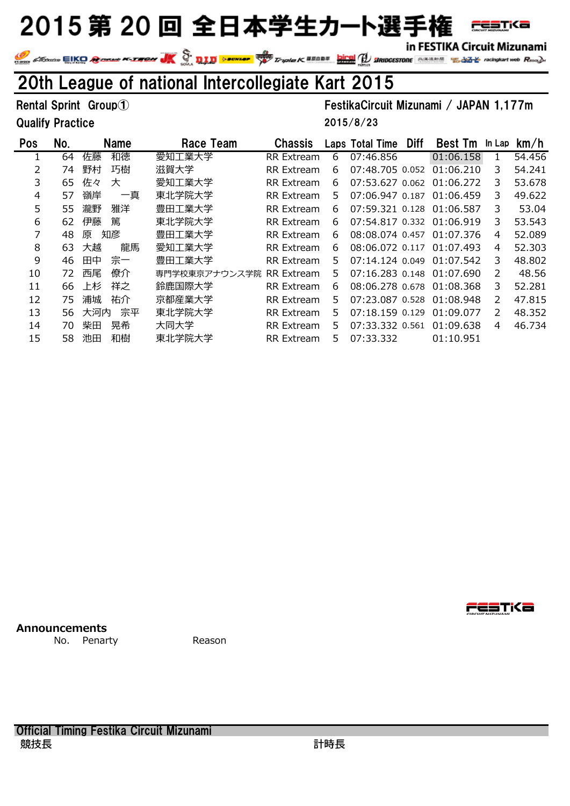

in FESTIKA Circuit Mizunami In FESTIKA CITCUIT MIZUNAMI<br>We change to the compact web Road on the Compact of the Compact of the Compact of the Compact Web Road on the Compact Web Road on the Compact Web Road on the Compact Web Road on the Compact Web

### 20th League of national Intercollegiate Kart 2015

#### Qualify Practice

#### Rental Sprint Group① The Community Contract Community Contract Community Community Community Community Community

2015/8/23

| Pos | No. | <b>Name</b> | Race Team                | <b>Chassis</b>    |    | Laps Total Time           | <b>Diff</b> | <b>Best Tm</b>            | In Lap        | km/h   |
|-----|-----|-------------|--------------------------|-------------------|----|---------------------------|-------------|---------------------------|---------------|--------|
|     | 64  | 和徳<br>佐藤    | 愛知工業大学                   | <b>RR</b> Extream | 6  | 07:46.856                 |             | 01:06.158                 |               | 54.456 |
| 2   | 74  | 野村<br>巧樹    | 滋賀大学                     | <b>RR</b> Extream | 6  | 07:48.705 0.052 01:06.210 |             |                           | 3             | 54.241 |
| 3   | 65  | 佐々<br>大     | 愛知工業大学                   | <b>RR</b> Extream | 6  |                           |             | 07:53.627 0.062 01:06.272 | 3             | 53.678 |
| 4   | 57  | 嶺岸<br>一真    | 東北学院大学                   | RR Extream        | 5. | 07:06.947 0.187 01:06.459 |             |                           | 3             | 49.622 |
| 5   | 55  | 雅洋<br>瀧野    | 豊田工業大学                   | <b>RR</b> Extream | 6  | 07:59.321 0.128 01:06.587 |             |                           | 3             | 53.04  |
| 6   | 62  | 篤<br>伊藤     | 東北学院大学                   | RR Extream        | 6  | 07:54.817 0.332 01:06.919 |             |                           | 3             | 53.543 |
| 7   | 48  | 知彦<br>原     | 豊田工業大学                   | RR Extream        | 6  |                           |             | 08:08.074 0.457 01:07.376 | 4             | 52.089 |
| 8   | 63  | 龍馬<br>大越    | 愛知工業大学                   | <b>RR</b> Extream | 6  |                           |             | 08:06.072 0.117 01:07.493 | 4             | 52,303 |
| 9   | 46  | 宗一<br>田中    | 豊田工業大学                   | <b>RR</b> Extream | 5. |                           |             | 07:14.124 0.049 01:07.542 | 3             | 48,802 |
| 10  | 72  | 西尾<br>僚介    | 専門学校東京アナウンス学院 RR Extream |                   | 5. |                           |             | 07:16.283 0.148 01:07.690 | $\mathcal{P}$ | 48.56  |
| 11  | 66  | 祥之<br>上杉    | 鈴鹿国際大学                   | <b>RR</b> Extream | 6  |                           |             | 08:06.278 0.678 01:08.368 | 3             | 52.281 |
| 12  | 75  | 浦城<br>祐介    | 京都産業大学                   | <b>RR</b> Extream | 5. |                           |             | 07:23.087 0.528 01:08.948 | $\mathcal{P}$ | 47.815 |
| 13  | 56  | 宗平<br>大河内   | 東北学院大学                   | RR Extream        | 5. | 07:18.159 0.129 01:09.077 |             |                           | $\mathcal{L}$ | 48.352 |
| 14  | 70. | 柴田<br>晃希    | 大同大学                     | RR Extream        | 5. |                           |             | 07:33.332 0.561 01:09.638 | 4             | 46.734 |
| 15  | 58  | 池田<br>和樹    | 東北学院大学                   | RR Extream        | 5. | 07:33.332                 |             | 01:10.951                 |               |        |

**Announcements**

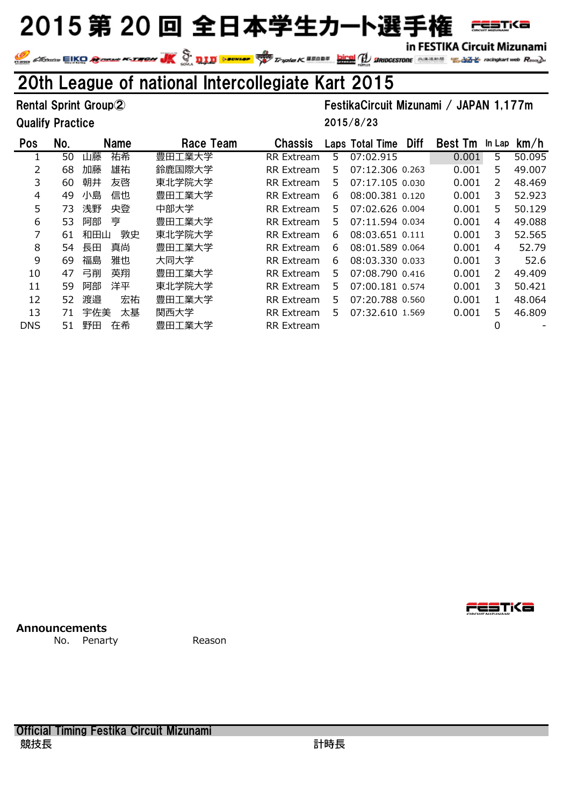

in FESTIKA Circuit Mizunami In FESTIKA CITCUIT MIZUNAMI<br>We change to the compact web Road on the Compact of the Compact of the Compact of the Compact Web Road on the Compact Web Road on the Compact Web Road on the Compact Web Road on the Compact Web

### 20th League of national Intercollegiate Kart 2015

#### Qualify Practice

#### Rental Sprint Group② FestikaCircuit Mizunami / JAPAN 1,177m

2015/8/23

| <b>Pos</b> | No. | <b>Name</b> | Race Team | <b>Chassis</b>    |    | Laps Total Time | <b>Diff</b> | <b>Best Tm</b> | In Lap | km/h   |
|------------|-----|-------------|-----------|-------------------|----|-----------------|-------------|----------------|--------|--------|
|            | 50  | 祐希<br>山藤    | 豊田工業大学    | <b>RR</b> Extream | 5. | 07:02.915       |             | 0.001          | 5      | 50.095 |
| 2          | 68  | 雄祐<br>加藤    | 鈴鹿国際大学    | <b>RR</b> Extream | 5. | 07:12.306 0.263 |             | 0.001          | 5      | 49.007 |
| 3          | 60  | 朝井<br>友啓    | 東北学院大学    | RR Extream        | 5. | 07:17.105 0.030 |             | 0.001          | 2      | 48.469 |
| 4          | 49  | 信也<br>小島    | 豊田工業大学    | RR Extream        | 6  | 08:00.381 0.120 |             | 0.001          | 3      | 52.923 |
| 5          | 73  | 浅野<br>央登    | 中部大学      | RR Extream        | 5. | 07:02.626 0.004 |             | 0.001          | 5      | 50.129 |
| 6          | 53  | 亨<br>阿部     | 豊田工業大学    | RR Extream        | 5. | 07:11.594 0.034 |             | 0.001          | 4      | 49.088 |
|            | 61  | 敦史<br>和田山   | 東北学院大学    | RR Extream        | 6  | 08:03.651 0.111 |             | 0.001          | 3      | 52.565 |
| 8          | 54  | 真尚<br>長田    | 豊田工業大学    | RR Extream        | 6  | 08:01.589 0.064 |             | 0.001          | 4      | 52.79  |
| 9          | 69  | 雅也<br>福島    | 大同大学      | <b>RR</b> Extream | 6. | 08:03.330 0.033 |             | 0.001          | 3      | 52.6   |
| 10         | 47  | 英翔<br>弓削    | 豊田工業大学    | RR Extream        | 5. | 07:08.790 0.416 |             | 0.001          | 2      | 49.409 |
| 11         | 59  | 洋平<br>阿部    | 東北学院大学    | RR Extream        | 5. | 07:00.181 0.574 |             | 0.001          | 3      | 50.421 |
| 12         | 52  | 宏祐<br>渡邉    | 豊田工業大学    | RR Extream        | 5. | 07:20.788 0.560 |             | 0.001          |        | 48.064 |
| 13         | 71  | 宇佐美<br>太基   | 関西大学      | RR Extream        | 5. | 07:32.610 1.569 |             | 0.001          | 5      | 46.809 |
| <b>DNS</b> | 51  | 野田<br>在希    | 豊田工業大学    | <b>RR</b> Extream |    |                 |             |                | 0      |        |

**Announcements**

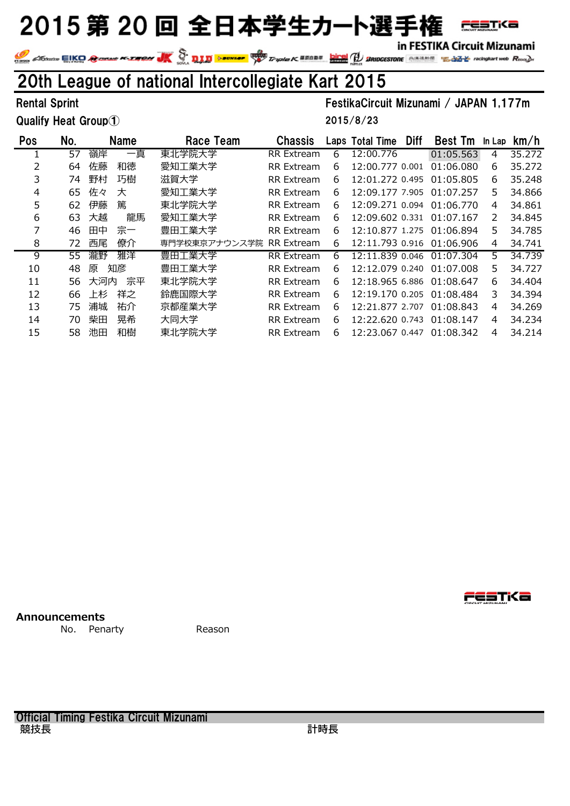in FESTIKA Circuit Mizunami

**FESTKa** 

IN FESTIKA CITCUIT MIZUNAMI<br>Andre EIKO Consult Poster UK (2000) provided to the Truste K REED To Birm and Consult To the Reed of Reed and

### 20th League of national Intercollegiate Kart 2015

Qualify Heat Group①

#### Rental Sprint FestikaCircuit Mizunami / JAPAN 1,177m

2015/8/23

| Pos | No. |     | Name | Race Team                | <b>Chassis</b>    |   | Laps Total Time | <b>Diff</b> | <b>Best Tm</b>            | In Lap        | km/h   |
|-----|-----|-----|------|--------------------------|-------------------|---|-----------------|-------------|---------------------------|---------------|--------|
|     | 57  | 嶺岸  | 一真   | 東北学院大学                   | RR Extream        | 6 | 12:00.776       |             | 01:05.563                 | 4             | 35.272 |
| 2   | 64  | 佐藤  | 和徳   | 愛知工業大学                   | <b>RR</b> Extream | 6 | 12:00.777 0.001 |             | 01:06.080                 | 6             | 35.272 |
| 3   | 74  | 野村  | 巧樹   | 滋賀大学                     | RR Extream        | 6 | 12:01.272 0.495 |             | 01:05.805                 | 6             | 35.248 |
| 4   | 65  | 佐々  | 大    | 愛知工業大学                   | RR Extream        | 6 | 12:09.177 7.905 |             | 01:07.257                 | 5             | 34.866 |
| 5   | 62  | 伊藤  | 篤    | 東北学院大学                   | <b>RR</b> Extream | 6 | 12:09.271 0.094 |             | 01:06.770                 | 4             | 34.861 |
| 6   | 63  | 大越  | 龍馬   | 愛知工業大学                   | RR Extream        | 6 | 12:09.602 0.331 |             | 01:07.167                 | $\mathcal{P}$ | 34.845 |
|     | 46  | 田中  | 宗一   | 豊田工業大学                   | RR Extream        | 6 |                 |             | 12:10.877 1.275 01:06.894 | 5.            | 34.785 |
| 8   | 72  | 西尾  | 僚介   | 専門学校東京アナウンス学院 RR Extream |                   | 6 | 12:11.793 0.916 |             | 01:06.906                 | 4             | 34.741 |
| 9   | 55  | 瀧野  | 雅洋   | 豊田工業大学                   | <b>RR</b> Extream | 6 | 12:11.839 0.046 |             | 01:07.304                 | 5.            | 34.739 |
| 10  | 48  | 原   | 知彦   | 豊田工業大学                   | <b>RR</b> Extream | 6 | 12:12.079 0.240 |             | 01:07.008                 | 5             | 34.727 |
| 11  | 56  | 大河内 | 宗平   | 東北学院大学                   | RR Extream        | 6 | 12:18.965 6.886 |             | 01:08.647                 | 6             | 34.404 |
| 12  | 66  | 上杉  | 祥之   | 鈴鹿国際大学                   | RR Extream        | 6 | 12:19.170 0.205 |             | 01:08.484                 | 3             | 34.394 |
| 13  | 75  | 浦城  | 祐介   | 京都産業大学                   | <b>RR</b> Extream | 6 | 12:21.877 2.707 |             | 01:08.843                 | 4             | 34.269 |
| 14  | 70  | 柴田  | 晃希   | 大同大学                     | <b>RR</b> Extream | 6 | 12:22.620 0.743 |             | 01:08.147                 | 4             | 34.234 |
| 15  | 58  | 池田  | 和樹   | 東北学院大学                   | <b>RR</b> Extream | 6 | 12:23.067 0.447 |             | 01:08.342                 | 4             | 34.214 |

**Announcements**

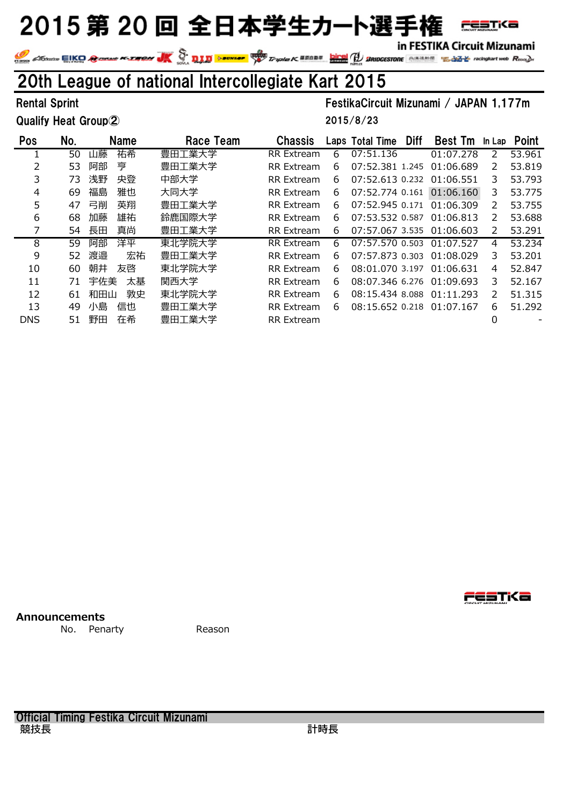in FESTIKA Circuit Mizunami

**FESTKa** 

IN FESTIKA CITCUIT MIZUNAMI<br>Andre EIKO Consult Poster UK (2000) provided to the Truste K REED To Birm and Consult To the Reed of Reed and

### 20th League of national Intercollegiate Kart 2015

Qualify Heat Group②

Rental Sprint FestikaCircuit Mizunami / JAPAN 1,177m 2015/8/23

| <b>Pos</b> | No. | Name      | Race Team | <b>Chassis</b>    |    | Laps Total Time           | <b>Diff</b> | <b>Best Tm</b> | In Lap        | Point  |
|------------|-----|-----------|-----------|-------------------|----|---------------------------|-------------|----------------|---------------|--------|
|            | 50  | 祐希<br>山藤  | 豊田工業大学    | <b>RR</b> Extream | 6  | 07:51.136                 |             | 01:07.278      | $\mathcal{P}$ | 53.961 |
| 2          | 53  | 亨<br>阿部   | 豊田工業大学    | RR Extream        | 6  | 07:52.381 1.245           |             | 01:06.689      | 2             | 53.819 |
| 3          | 73  | 央登<br>浅野  | 中部大学      | <b>RR</b> Extream | 6  | 07:52.613 0.232 01:06.551 |             |                | 3.            | 53,793 |
| 4          | 69  | 雅也<br>福島  | 大同大学      | RR Extream        | 6  | 07:52.774 0.161 01:06.160 |             |                | 3             | 53.775 |
| 5          | 47  | 英翔<br>弓削  | 豊田工業大学    | RR Extream        | 6  | 07:52.945 0.171 01:06.309 |             |                | 2             | 53.755 |
| 6          | 68  | 雄祐<br>加藤  | 鈴鹿国際大学    | <b>RR</b> Extream | 6  | 07:53.532 0.587 01:06.813 |             |                | 2             | 53.688 |
| 7          | 54  | 真尚<br>長田  | 豊田工業大学    | RR Extream        | 6  | 07:57.067 3.535 01:06.603 |             |                | 2             | 53.291 |
| 8          | 59  | 洋平<br>阿部  | 東北学院大学    | <b>RR</b> Extream | 6. | 07:57.570 0.503 01:07.527 |             |                | 4             | 53.234 |
| 9          | 52  | 渡邉<br>宏祐  | 豊田工業大学    | RR Extream        | 6  | 07:57.873 0.303 01:08.029 |             |                | 3.            | 53.201 |
| 10         | 60  | 朝井<br>友啓  | 東北学院大学    | RR Extream        | 6  | 08:01.070 3.197           |             | 01:06.631      | 4             | 52,847 |
| 11         | 71  | 宇佐美<br>太基 | 関西大学      | RR Extream        | 6  | 08:07.346 6.276 01:09.693 |             |                | 3.            | 52.167 |
| 12         | 61  | 和田山<br>敦史 | 東北学院大学    | RR Extream        | 6. | 08:15.434 8.088 01:11.293 |             |                | 2             | 51.315 |
| 13         | 49  | 小島<br>信也  | 豊田工業大学    | RR Extream        | 6  | 08:15.652 0.218 01:07.167 |             |                | 6.            | 51,292 |
| <b>DNS</b> | 51  | 在希<br>野田  | 豊田工業大学    | RR Extream        |    |                           |             |                | 0             |        |
|            |     |           |           |                   |    |                           |             |                |               |        |

**Announcements**

No. Penarty **Reason** 

Official Timing Festika Circuit Mizunami 競技長 きょうきょう しょうかん かんきょう かいじょう 計時長 **FESTKa**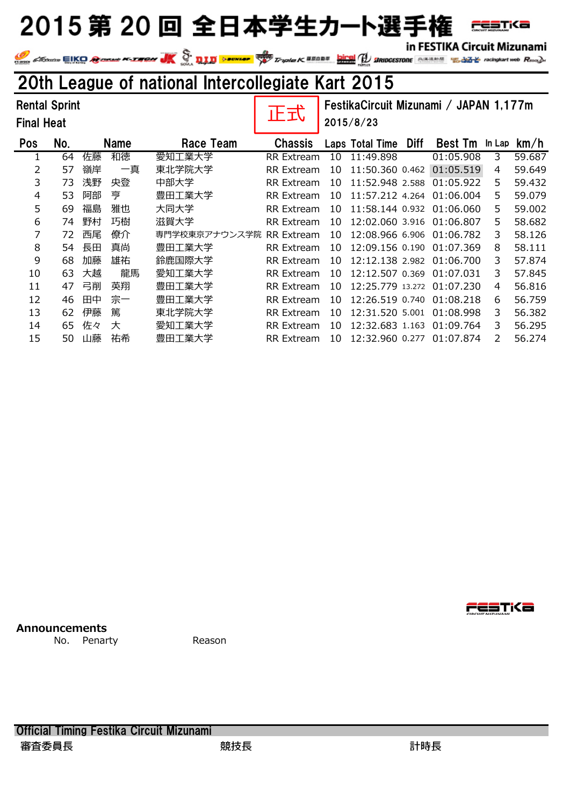in FESTIKA Circuit Mizunami

FESTKa

In FESTIKA CITCUIT MIZUNAMI<br>We consider the Second Conduct Management of the Conduct of the Conduct of the Conduct Management of the Second<br>Second Second Conduct Management of the Second Conduct Management of the Second Co

### 20th League of national Intercollegiate Kart 2015

| <b>Rental Sprint</b><br><b>Final Heat</b> |     |    |             | 正式                       | FestikaCircuit Mizunami / JAPAN 1,177m<br>2015/8/23 |    |                  |             |                           |        |        |
|-------------------------------------------|-----|----|-------------|--------------------------|-----------------------------------------------------|----|------------------|-------------|---------------------------|--------|--------|
| <b>Pos</b>                                | No. |    | <b>Name</b> | Race Team                | <b>Chassis</b>                                      |    | Laps Total Time  | <b>Diff</b> | <b>Best Tm</b>            | In Lap | km/h   |
|                                           | 64  | 佐藤 | 和徳          | 愛知工業大学                   | <b>RR</b> Extream                                   | 10 | 11:49.898        |             | 01:05.908                 | 3      | 59.687 |
| 2                                         | 57  | 嶺岸 | 一真          | 東北学院大学                   | <b>RR</b> Extream                                   | 10 | 11:50.360 0.462  |             | 01:05.519                 | 4      | 59.649 |
| 3                                         | 73  | 浅野 | 央登          | 中部大学                     | RR Extream                                          | 10 | 11:52.948 2.588  |             | 01:05.922                 | 5      | 59.432 |
| 4                                         | 53  | 阿部 | 亨           | 豊田工業大学                   | RR Extream                                          | 10 | 11:57.212 4.264  |             | 01:06.004                 | 5      | 59.079 |
| 5                                         | 69  | 福島 | 雅也          | 大同大学                     | RR Extream                                          | 10 | 11:58.144 0.932  |             | 01:06.060                 | 5      | 59.002 |
| 6                                         | 74  | 野村 | 巧樹          | 滋賀大学                     | <b>RR</b> Extream                                   | 10 |                  |             | 12:02.060 3.916 01:06.807 | 5      | 58.682 |
| 7                                         | 72  | 西尾 | 僚介          | 専門学校東京アナウンス学院 RR Extream |                                                     | 10 | 12:08.966 6.906  |             | 01:06.782                 | 3      | 58.126 |
| 8                                         | 54  | 長田 | 真尚          | 豊田工業大学                   | RR Extream                                          | 10 | 12:09.156 0.190  |             | 01:07.369                 | 8      | 58.111 |
| 9                                         | 68  | 加藤 | 雄祐          | 鈴鹿国際大学                   | RR Extream                                          | 10 | 12:12.138 2.982  |             | 01:06.700                 | 3      | 57.874 |
| 10                                        | 63  | 大越 | 龍馬          | 愛知工業大学                   | <b>RR</b> Extream                                   | 10 | 12:12.507 0.369  |             | 01:07.031                 | 3      | 57.845 |
| 11                                        | 47  | 弓削 | 英翔          | 豊田工業大学                   | RR Extream                                          | 10 | 12:25.779 13.272 |             | 01:07.230                 | 4      | 56.816 |
| 12                                        | 46  | 田中 | 宗一          | 豊田工業大学                   | <b>RR</b> Extream                                   | 10 | 12:26.519 0.740  |             | 01:08.218                 | 6      | 56.759 |
| 13                                        | 62  | 伊藤 | 篤           | 東北学院大学                   | <b>RR</b> Extream                                   | 10 | 12:31.520 5.001  |             | 01:08.998                 | 3      | 56.382 |
| 14                                        | 65  | 佐々 | 大           | 愛知工業大学                   | <b>RR</b> Extream                                   | 10 | 12:32.683 1.163  |             | 01:09.764                 | 3      | 56.295 |
| 15                                        | 50  | 山藤 | 祐希          | 豊田工業大学                   | <b>RR</b> Extream                                   | 10 | 12:32.960 0.277  |             | 01:07.874                 | 2      | 56.274 |

**Announcements**

No. Penarty Reason

restika